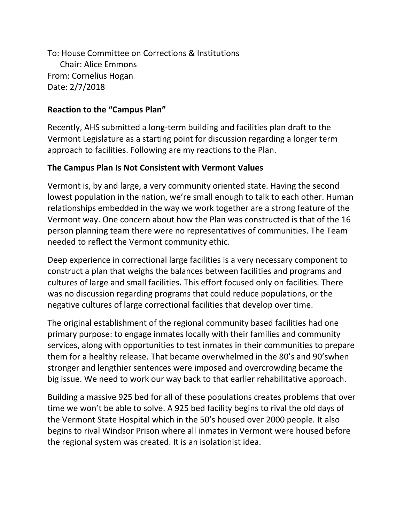To: House Committee on Corrections & Institutions Chair: Alice Emmons From: Cornelius Hogan Date: 2/7/2018

### **Reaction to the "Campus Plan"**

Recently, AHS submitted a long-term building and facilities plan draft to the Vermont Legislature as a starting point for discussion regarding a longer term approach to facilities. Following are my reactions to the Plan.

### **The Campus Plan Is Not Consistent with Vermont Values**

Vermont is, by and large, a very community oriented state. Having the second lowest population in the nation, we're small enough to talk to each other. Human relationships embedded in the way we work together are a strong feature of the Vermont way. One concern about how the Plan was constructed is that of the 16 person planning team there were no representatives of communities. The Team needed to reflect the Vermont community ethic.

Deep experience in correctional large facilities is a very necessary component to construct a plan that weighs the balances between facilities and programs and cultures of large and small facilities. This effort focused only on facilities. There was no discussion regarding programs that could reduce populations, or the negative cultures of large correctional facilities that develop over time.

The original establishment of the regional community based facilities had one primary purpose: to engage inmates locally with their families and community services, along with opportunities to test inmates in their communities to prepare them for a healthy release. That became overwhelmed in the 80's and 90'swhen stronger and lengthier sentences were imposed and overcrowding became the big issue. We need to work our way back to that earlier rehabilitative approach.

Building a massive 925 bed for all of these populations creates problems that over time we won't be able to solve. A 925 bed facility begins to rival the old days of the Vermont State Hospital which in the 50's housed over 2000 people. It also begins to rival Windsor Prison where all inmates in Vermont were housed before the regional system was created. It is an isolationist idea.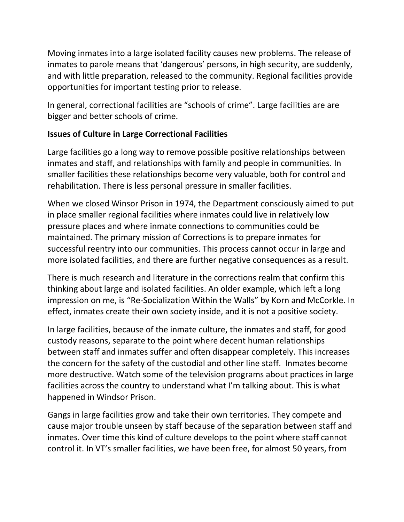Moving inmates into a large isolated facility causes new problems. The release of inmates to parole means that 'dangerous' persons, in high security, are suddenly, and with little preparation, released to the community. Regional facilities provide opportunities for important testing prior to release.

In general, correctional facilities are "schools of crime". Large facilities are are bigger and better schools of crime.

# **Issues of Culture in Large Correctional Facilities**

Large facilities go a long way to remove possible positive relationships between inmates and staff, and relationships with family and people in communities. In smaller facilities these relationships become very valuable, both for control and rehabilitation. There is less personal pressure in smaller facilities.

When we closed Winsor Prison in 1974, the Department consciously aimed to put in place smaller regional facilities where inmates could live in relatively low pressure places and where inmate connections to communities could be maintained. The primary mission of Corrections is to prepare inmates for successful reentry into our communities. This process cannot occur in large and more isolated facilities, and there are further negative consequences as a result.

There is much research and literature in the corrections realm that confirm this thinking about large and isolated facilities. An older example, which left a long impression on me, is "Re-Socialization Within the Walls" by Korn and McCorkle. In effect, inmates create their own society inside, and it is not a positive society.

In large facilities, because of the inmate culture, the inmates and staff, for good custody reasons, separate to the point where decent human relationships between staff and inmates suffer and often disappear completely. This increases the concern for the safety of the custodial and other line staff. Inmates become more destructive. Watch some of the television programs about practices in large facilities across the country to understand what I'm talking about. This is what happened in Windsor Prison.

Gangs in large facilities grow and take their own territories. They compete and cause major trouble unseen by staff because of the separation between staff and inmates. Over time this kind of culture develops to the point where staff cannot control it. In VT's smaller facilities, we have been free, for almost 50 years, from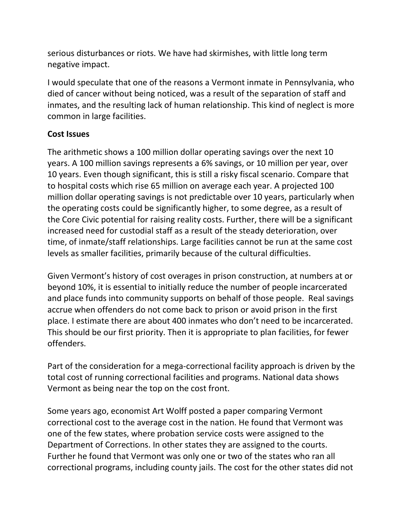serious disturbances or riots. We have had skirmishes, with little long term negative impact.

I would speculate that one of the reasons a Vermont inmate in Pennsylvania, who died of cancer without being noticed, was a result of the separation of staff and inmates, and the resulting lack of human relationship. This kind of neglect is more common in large facilities.

### **Cost Issues**

The arithmetic shows a 100 million dollar operating savings over the next 10 years. A 100 million savings represents a 6% savings, or 10 million per year, over 10 years. Even though significant, this is still a risky fiscal scenario. Compare that to hospital costs which rise 65 million on average each year. A projected 100 million dollar operating savings is not predictable over 10 years, particularly when the operating costs could be significantly higher, to some degree, as a result of the Core Civic potential for raising reality costs. Further, there will be a significant increased need for custodial staff as a result of the steady deterioration, over time, of inmate/staff relationships. Large facilities cannot be run at the same cost levels as smaller facilities, primarily because of the cultural difficulties.

Given Vermont's history of cost overages in prison construction, at numbers at or beyond 10%, it is essential to initially reduce the number of people incarcerated and place funds into community supports on behalf of those people. Real savings accrue when offenders do not come back to prison or avoid prison in the first place. I estimate there are about 400 inmates who don't need to be incarcerated. This should be our first priority. Then it is appropriate to plan facilities, for fewer offenders.

Part of the consideration for a mega-correctional facility approach is driven by the total cost of running correctional facilities and programs. National data shows Vermont as being near the top on the cost front.

Some years ago, economist Art Wolff posted a paper comparing Vermont correctional cost to the average cost in the nation. He found that Vermont was one of the few states, where probation service costs were assigned to the Department of Corrections. In other states they are assigned to the courts. Further he found that Vermont was only one or two of the states who ran all correctional programs, including county jails. The cost for the other states did not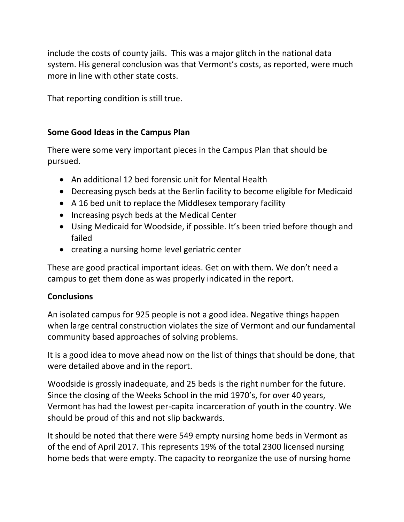include the costs of county jails. This was a major glitch in the national data system. His general conclusion was that Vermont's costs, as reported, were much more in line with other state costs.

That reporting condition is still true.

## **Some Good Ideas in the Campus Plan**

There were some very important pieces in the Campus Plan that should be pursued.

- An additional 12 bed forensic unit for Mental Health
- Decreasing pysch beds at the Berlin facility to become eligible for Medicaid
- A 16 bed unit to replace the Middlesex temporary facility
- Increasing psych beds at the Medical Center
- Using Medicaid for Woodside, if possible. It's been tried before though and failed
- creating a nursing home level geriatric center

These are good practical important ideas. Get on with them. We don't need a campus to get them done as was properly indicated in the report.

### **Conclusions**

An isolated campus for 925 people is not a good idea. Negative things happen when large central construction violates the size of Vermont and our fundamental community based approaches of solving problems.

It is a good idea to move ahead now on the list of things that should be done, that were detailed above and in the report.

Woodside is grossly inadequate, and 25 beds is the right number for the future. Since the closing of the Weeks School in the mid 1970's, for over 40 years, Vermont has had the lowest per-capita incarceration of youth in the country. We should be proud of this and not slip backwards.

It should be noted that there were 549 empty nursing home beds in Vermont as of the end of April 2017. This represents 19% of the total 2300 licensed nursing home beds that were empty. The capacity to reorganize the use of nursing home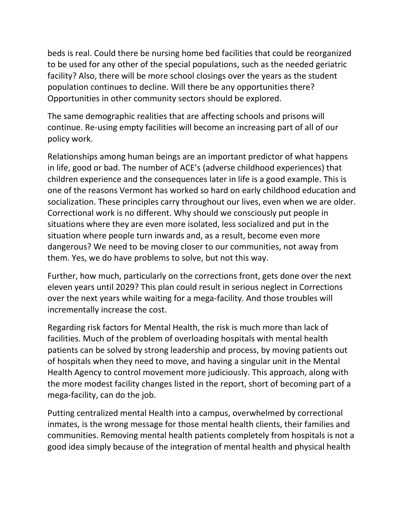beds is real. Could there be nursing home bed facilities that could be reorganized to be used for any other of the special populations, such as the needed geriatric facility? Also, there will be more school closings over the years as the student population continues to decline. Will there be any opportunities there? Opportunities in other community sectors should be explored.

The same demographic realities that are affecting schools and prisons will continue. Re-using empty facilities will become an increasing part of all of our policy work.

Relationships among human beings are an important predictor of what happens in life, good or bad. The number of ACE's (adverse childhood experiences) that children experience and the consequences later in life is a good example. This is one of the reasons Vermont has worked so hard on early childhood education and socialization. These principles carry throughout our lives, even when we are older. Correctional work is no different. Why should we consciously put people in situations where they are even more isolated, less socialized and put in the situation where people turn inwards and, as a result, become even more dangerous? We need to be moving closer to our communities, not away from them. Yes, we do have problems to solve, but not this way.

Further, how much, particularly on the corrections front, gets done over the next eleven years until 2029? This plan could result in serious neglect in Corrections over the next years while waiting for a mega-facility. And those troubles will incrementally increase the cost.

Regarding risk factors for Mental Health, the risk is much more than lack of facilities. Much of the problem of overloading hospitals with mental health patients can be solved by strong leadership and process, by moving patients out of hospitals when they need to move, and having a singular unit in the Mental Health Agency to control movement more judiciously. This approach, along with the more modest facility changes listed in the report, short of becoming part of a mega-facility, can do the job.

Putting centralized mental Health into a campus, overwhelmed by correctional inmates, is the wrong message for those mental health clients, their families and communities. Removing mental health patients completely from hospitals is not a good idea simply because of the integration of mental health and physical health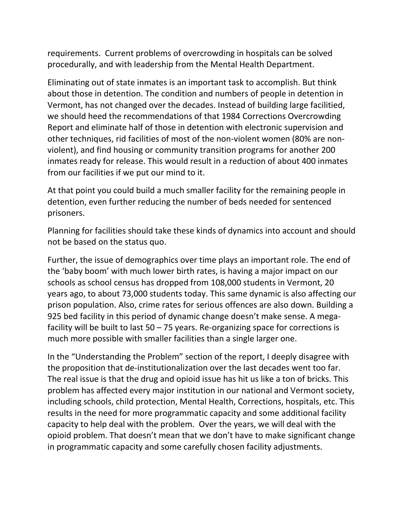requirements. Current problems of overcrowding in hospitals can be solved procedurally, and with leadership from the Mental Health Department.

Eliminating out of state inmates is an important task to accomplish. But think about those in detention. The condition and numbers of people in detention in Vermont, has not changed over the decades. Instead of building large facilitied, we should heed the recommendations of that 1984 Corrections Overcrowding Report and eliminate half of those in detention with electronic supervision and other techniques, rid facilities of most of the non-violent women (80% are nonviolent), and find housing or community transition programs for another 200 inmates ready for release. This would result in a reduction of about 400 inmates from our facilities if we put our mind to it.

At that point you could build a much smaller facility for the remaining people in detention, even further reducing the number of beds needed for sentenced prisoners.

Planning for facilities should take these kinds of dynamics into account and should not be based on the status quo.

Further, the issue of demographics over time plays an important role. The end of the 'baby boom' with much lower birth rates, is having a major impact on our schools as school census has dropped from 108,000 students in Vermont, 20 years ago, to about 73,000 students today. This same dynamic is also affecting our prison population. Also, crime rates for serious offences are also down. Building a 925 bed facility in this period of dynamic change doesn't make sense. A megafacility will be built to last  $50 - 75$  years. Re-organizing space for corrections is much more possible with smaller facilities than a single larger one.

In the "Understanding the Problem" section of the report, I deeply disagree with the proposition that de-institutionalization over the last decades went too far. The real issue is that the drug and opioid issue has hit us like a ton of bricks. This problem has affected every major institution in our national and Vermont society, including schools, child protection, Mental Health, Corrections, hospitals, etc. This results in the need for more programmatic capacity and some additional facility capacity to help deal with the problem. Over the years, we will deal with the opioid problem. That doesn't mean that we don't have to make significant change in programmatic capacity and some carefully chosen facility adjustments.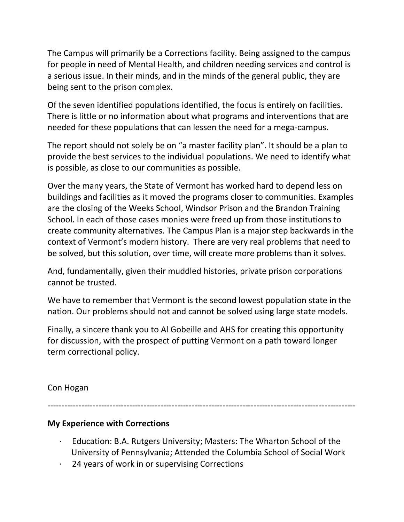The Campus will primarily be a Corrections facility. Being assigned to the campus for people in need of Mental Health, and children needing services and control is a serious issue. In their minds, and in the minds of the general public, they are being sent to the prison complex.

Of the seven identified populations identified, the focus is entirely on facilities. There is little or no information about what programs and interventions that are needed for these populations that can lessen the need for a mega-campus.

The report should not solely be on "a master facility plan". It should be a plan to provide the best services to the individual populations. We need to identify what is possible, as close to our communities as possible.

Over the many years, the State of Vermont has worked hard to depend less on buildings and facilities as it moved the programs closer to communities. Examples are the closing of the Weeks School, Windsor Prison and the Brandon Training School. In each of those cases monies were freed up from those institutions to create community alternatives. The Campus Plan is a major step backwards in the context of Vermont's modern history. There are very real problems that need to be solved, but this solution, over time, will create more problems than it solves.

And, fundamentally, given their muddled histories, private prison corporations cannot be trusted.

We have to remember that Vermont is the second lowest population state in the nation. Our problems should not and cannot be solved using large state models.

Finally, a sincere thank you to Al Gobeille and AHS for creating this opportunity for discussion, with the prospect of putting Vermont on a path toward longer term correctional policy.

### Con Hogan

-------------------------------------------------------------------------------------------------------------

# **My Experience with Corrections**

- · Education: B.A. Rutgers University; Masters: The Wharton School of the University of Pennsylvania; Attended the Columbia School of Social Work
- 24 years of work in or supervising Corrections